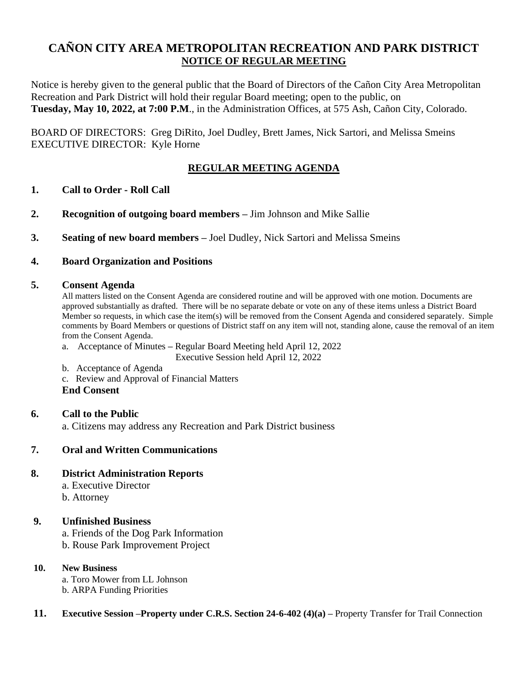# **CAÑON CITY AREA METROPOLITAN RECREATION AND PARK DISTRICT NOTICE OF REGULAR MEETING**

Notice is hereby given to the general public that the Board of Directors of the Cañon City Area Metropolitan Recreation and Park District will hold their regular Board meeting; open to the public, on **Tuesday, May 10, 2022, at 7:00 P.M**., in the Administration Offices, at 575 Ash, Cañon City, Colorado.

BOARD OF DIRECTORS: Greg DiRito, Joel Dudley, Brett James, Nick Sartori, and Melissa Smeins EXECUTIVE DIRECTOR: Kyle Horne

### **REGULAR MEETING AGENDA**

### **1. Call to Order - Roll Call**

- **2. Recognition of outgoing board members –** Jim Johnson and Mike Sallie
- **3. Seating of new board members –** Joel Dudley, Nick Sartori and Melissa Smeins

#### **4. Board Organization and Positions**

#### **5. Consent Agenda**

All matters listed on the Consent Agenda are considered routine and will be approved with one motion. Documents are approved substantially as drafted. There will be no separate debate or vote on any of these items unless a District Board Member so requests, in which case the item(s) will be removed from the Consent Agenda and considered separately. Simple comments by Board Members or questions of District staff on any item will not, standing alone, cause the removal of an item from the Consent Agenda.

a. Acceptance of Minutes **–** Regular Board Meeting held April 12, 2022

Executive Session held April 12, 2022

- b. Acceptance of Agenda
- c. Review and Approval of Financial Matters

**End Consent**

### **6. Call to the Public**

a. Citizens may address any Recreation and Park District business

### **7. Oral and Written Communications**

#### **8. District Administration Reports**

- a. Executive Director
- b. Attorney

### **9. Unfinished Business**

a. Friends of the Dog Park Information

b. Rouse Park Improvement Project

#### **10. New Business**

a. Toro Mower from LL Johnson b. ARPA Funding Priorities

#### **11. Executive Session –Property under C.R.S. Section 24-6-402 (4)(a) –** Property Transfer for Trail Connection